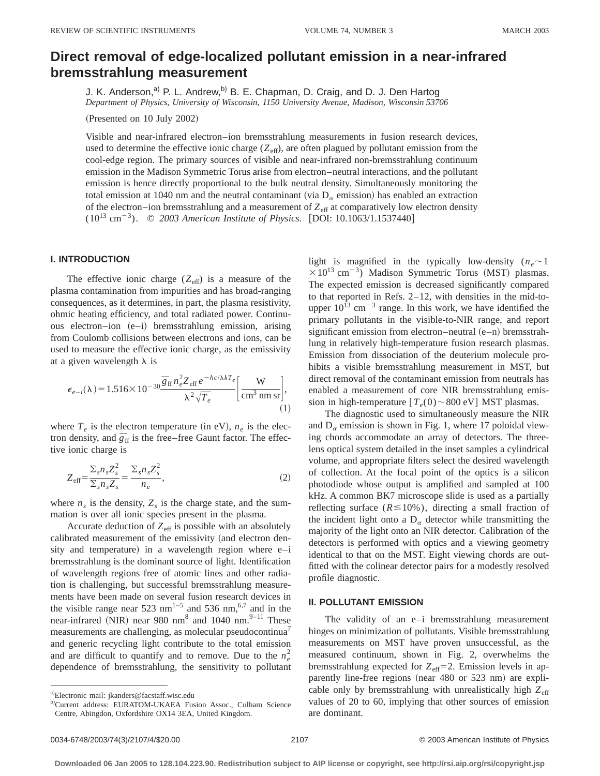# **Direct removal of edge-localized pollutant emission in a near-infrared bremsstrahlung measurement**

J. K. Anderson,<sup>a)</sup> P. L. Andrew,<sup>b)</sup> B. E. Chapman, D. Craig, and D. J. Den Hartog *Department of Physics, University of Wisconsin, 1150 University Avenue, Madison, Wisconsin 53706*

 $(Presented on 10 July 2002)$ 

Visible and near-infrared electron–ion bremsstrahlung measurements in fusion research devices, used to determine the effective ionic charge  $(Z_{\text{eff}})$ , are often plagued by pollutant emission from the cool-edge region. The primary sources of visible and near-infrared non-bremsstrahlung continuum emission in the Madison Symmetric Torus arise from electron–neutral interactions, and the pollutant emission is hence directly proportional to the bulk neutral density. Simultaneously monitoring the total emission at 1040 nm and the neutral contaminant (via  $D_{\alpha}$  emission) has enabled an extraction of the electron–ion bremsstrahlung and a measurement of  $Z_{\text{eff}}$  at comparatively low electron density  $(10^{13} \text{ cm}^{-3})$ . © 2003 American Institute of Physics. [DOI: 10.1063/1.1537440]

# **I. INTRODUCTION**

The effective ionic charge  $(Z_{\text{eff}})$  is a measure of the plasma contamination from impurities and has broad-ranging consequences, as it determines, in part, the plasma resistivity, ohmic heating efficiency, and total radiated power. Continuous electron–ion  $(e-i)$  bremsstrahlung emission, arising from Coulomb collisions between electrons and ions, can be used to measure the effective ionic charge, as the emissivity at a given wavelength  $\lambda$  is

$$
\epsilon_{e-i}(\lambda) = 1.516 \times 10^{-30} \frac{\overline{g}_{\text{ff}} n_e^2 Z_{\text{eff}} e^{-hc/\lambda kT_e}}{\lambda^2 \sqrt{T_e}} \left[ \frac{\text{W}}{\text{cm}^3 \text{ nm sr}} \right],\tag{1}
$$

where  $T_e$  is the electron temperature (in eV),  $n_e$  is the electron density, and  $\bar{g}_{\text{ff}}$  is the free–free Gaunt factor. The effective ionic charge is

$$
Z_{\text{eff}} = \frac{\sum_{s} n_s Z_s^2}{\sum_{s} n_s Z_s} = \frac{\sum_{s} n_s Z_s^2}{n_e},\tag{2}
$$

where  $n<sub>s</sub>$  is the density,  $Z<sub>s</sub>$  is the charge state, and the summation is over all ionic species present in the plasma.

Accurate deduction of  $Z_{\text{eff}}$  is possible with an absolutely calibrated measurement of the emissivity (and electron density and temperature) in a wavelength region where  $e-i$ bremsstrahlung is the dominant source of light. Identification of wavelength regions free of atomic lines and other radiation is challenging, but successful bremsstrahlung measurements have been made on several fusion research devices in the visible range near 523 nm<sup>1-5</sup> and 536 nm,<sup>6,7</sup> and in the near-infrared (NIR) near 980 nm<sup>8</sup> and 1040 nm.<sup>9–11</sup> These measurements are challenging, as molecular pseudocontinua<sup>7</sup> and generic recycling light contribute to the total emission and are difficult to quantify and to remove. Due to the  $n_e^2$ dependence of bremsstrahlung, the sensitivity to pollutant light is magnified in the typically low-density  $(n_e \sim 1)$  $\times 10^{13}$  cm<sup>-3</sup>) Madison Symmetric Torus (MST) plasmas. The expected emission is decreased significantly compared to that reported in Refs. 2–12, with densities in the mid-toupper  $10^{13}$  cm<sup>-3</sup> range. In this work, we have identified the primary pollutants in the visible-to-NIR range, and report significant emission from electron–neutral  $(e-n)$  bremsstrahlung in relatively high-temperature fusion research plasmas. Emission from dissociation of the deuterium molecule prohibits a visible bremsstrahlung measurement in MST, but direct removal of the contaminant emission from neutrals has enabled a measurement of core NIR bremsstrahlung emission in high-temperature  $[T_e(0) \sim 800 \text{ eV}]$  MST plasmas.

The diagnostic used to simultaneously measure the NIR and  $D_{\alpha}$  emission is shown in Fig. 1, where 17 poloidal viewing chords accommodate an array of detectors. The threelens optical system detailed in the inset samples a cylindrical volume, and appropriate filters select the desired wavelength of collection. At the focal point of the optics is a silicon photodiode whose output is amplified and sampled at 100 kHz. A common BK7 microscope slide is used as a partially reflecting surface  $(R \le 10\%)$ , directing a small fraction of the incident light onto a  $D_{\alpha}$  detector while transmitting the majority of the light onto an NIR detector. Calibration of the detectors is performed with optics and a viewing geometry identical to that on the MST. Eight viewing chords are outfitted with the colinear detector pairs for a modestly resolved profile diagnostic.

## **II. POLLUTANT EMISSION**

The validity of an e–i bremsstrahlung measurement hinges on minimization of pollutants. Visible bremsstrahlung measurements on MST have proven unsuccessful, as the measured continuum, shown in Fig. 2, overwhelms the bremsstrahlung expected for  $Z_{\text{eff}}=2$ . Emission levels in apparently line-free regions (near 480 or 523 nm) are explicable only by bremsstrahlung with unrealistically high  $Z_{\text{eff}}$ values of 20 to 60, implying that other sources of emission are dominant.

a)Electronic mail: jkanders@facstaff.wisc.edu

b)Current address: EURATOM-UKAEA Fusion Assoc., Culham Science Centre, Abingdon, Oxfordshire OX14 3EA, United Kingdom.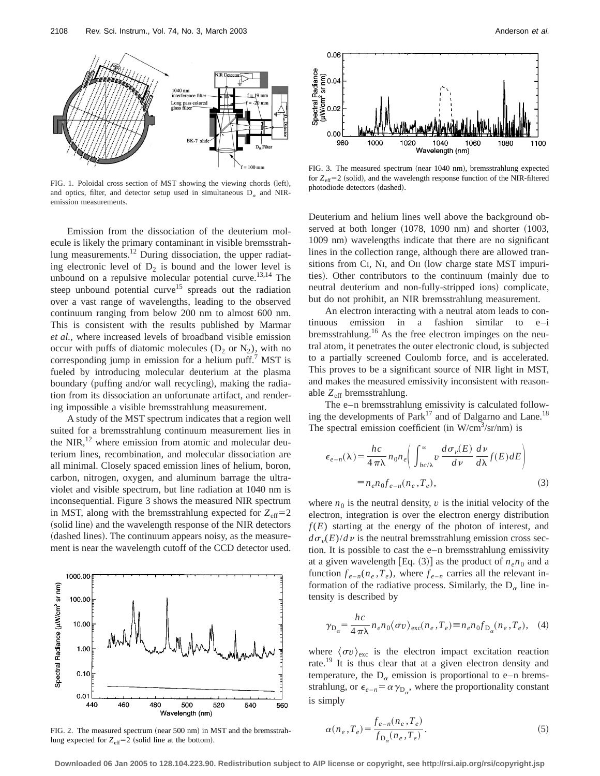

FIG. 1. Poloidal cross section of MST showing the viewing chords (left), and optics, filter, and detector setup used in simultaneous  $D_{\alpha}$  and NIRemission measurements.

Emission from the dissociation of the deuterium molecule is likely the primary contaminant in visible bremsstrahlung measurements.12 During dissociation, the upper radiating electronic level of  $D_2$  is bound and the lower level is unbound on a repulsive molecular potential curve.<sup>13,14</sup> The steep unbound potential curve<sup>15</sup> spreads out the radiation over a vast range of wavelengths, leading to the observed continuum ranging from below 200 nm to almost 600 nm. This is consistent with the results published by Marmar *et al.*, where increased levels of broadband visible emission occur with puffs of diatomic molecules  $(D_2 \text{ or } N_2)$ , with no corresponding jump in emission for a helium puff.<sup>7</sup> MST is fueled by introducing molecular deuterium at the plasma boundary (puffing and/or wall recycling), making the radiation from its dissociation an unfortunate artifact, and rendering impossible a visible bremsstrahlung measurement.

A study of the MST spectrum indicates that a region well suited for a bremsstrahlung continuum measurement lies in the NIR, $^{12}$  where emission from atomic and molecular deuterium lines, recombination, and molecular dissociation are all minimal. Closely spaced emission lines of helium, boron, carbon, nitrogen, oxygen, and aluminum barrage the ultraviolet and visible spectrum, but line radiation at 1040 nm is inconsequential. Figure 3 shows the measured NIR spectrum in MST, along with the bremsstrahlung expected for  $Z_{\text{eff}}=2$ (solid line) and the wavelength response of the NIR detectors (dashed lines). The continuum appears noisy, as the measurement is near the wavelength cutoff of the CCD detector used.



FIG. 2. The measured spectrum (near 500 nm) in MST and the bremsstrahlung expected for  $Z_{\text{eff}}=2$  (solid line at the bottom).



FIG. 3. The measured spectrum (near 1040 nm), bremsstrahlung expected for  $Z_{\text{eff}}=2$  (solid), and the wavelength response function of the NIR-filtered photodiode detectors (dashed).

Deuterium and helium lines well above the background observed at both longer  $(1078, 1090 \text{ nm})$  and shorter  $(1003,$ 1009 nm) wavelengths indicate that there are no significant lines in the collection range, although there are allowed transitions from CI, NI, and OII (low charge state MST impurities). Other contributors to the continuum (mainly due to neutral deuterium and non-fully-stripped ions) complicate, but do not prohibit, an NIR bremsstrahlung measurement.

An electron interacting with a neutral atom leads to continuous emission in a fashion similar to e–i bremsstrahlung.<sup>16</sup> As the free electron impinges on the neutral atom, it penetrates the outer electronic cloud, is subjected to a partially screened Coulomb force, and is accelerated. This proves to be a significant source of NIR light in MST, and makes the measured emissivity inconsistent with reasonable  $Z_{\text{eff}}$  bremsstrahlung.

The e–n bremsstrahlung emissivity is calculated following the developments of Park<sup>17</sup> and of Dalgarno and Lane.<sup>18</sup> The spectral emission coefficient (in W/cm<sup>3</sup>/sr/nm) is

$$
\epsilon_{e-n}(\lambda) = \frac{hc}{4\pi\lambda} n_0 n_e \left( \int_{hc/\lambda}^{\infty} v \frac{d\sigma_v(E)}{dv} \frac{dv}{d\lambda} f(E) dE \right)
$$
  
=  $n_e n_0 f_{e-n}(n_e, T_e),$  (3)

where  $n_0$  is the neutral density,  $v$  is the initial velocity of the electron, integration is over the electron energy distribution  $f(E)$  starting at the energy of the photon of interest, and  $d\sigma_{\nu}(E)/d\nu$  is the neutral bremsstrahlung emission cross section. It is possible to cast the e–n bremsstrahlung emissivity at a given wavelength [Eq. (3)] as the product of  $n_e n_0$  and a function  $f_{e-n}(n_e, T_e)$ , where  $f_{e-n}$  carries all the relevant information of the radiative process. Similarly, the  $D_{\alpha}$  line intensity is described by

$$
\gamma_{D_{\alpha}} = \frac{hc}{4\pi\lambda} n_e n_0 \langle \sigma v \rangle_{\text{exc}}(n_e, T_e) \equiv n_e n_0 f_{D_{\alpha}}(n_e, T_e), \quad (4)
$$

where  $\langle \sigma v \rangle_{\text{exc}}$  is the electron impact excitation reaction rate.<sup>19</sup> It is thus clear that at a given electron density and temperature, the  $D_{\alpha}$  emission is proportional to e–n bremsstrahlung, or  $\epsilon_{e-n} = \alpha \gamma_{D_{\alpha}}$ , where the proportionality constant is simply

$$
\alpha(n_e, T_e) = \frac{f_{e-n}(n_e, T_e)}{f_{D_o}(n_e, T_e)}.
$$
\n(5)

**Downloaded 06 Jan 2005 to 128.104.223.90. Redistribution subject to AIP license or copyright, see http://rsi.aip.org/rsi/copyright.jsp**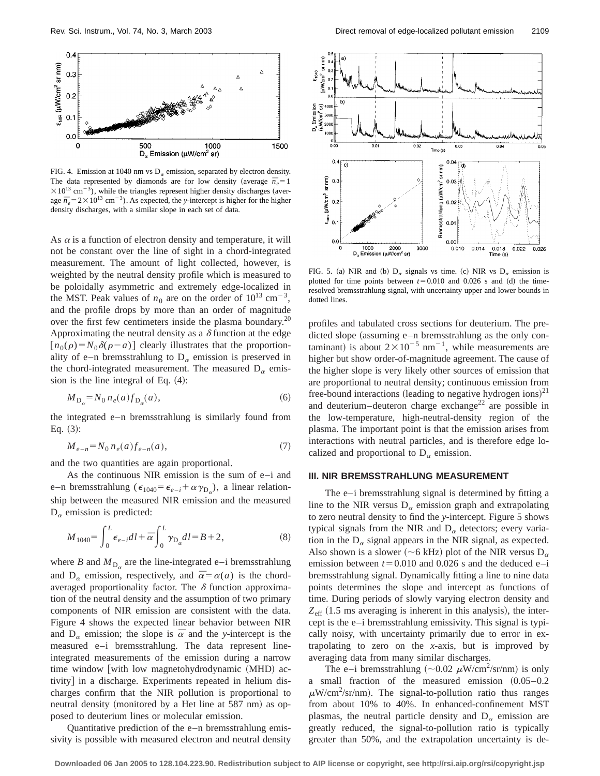

FIG. 4. Emission at 1040 nm vs  $D_{\alpha}$  emission, separated by electron density. The data represented by diamonds are for low density (average  $\bar{n}_e = 1$  $\times$ 10<sup>13</sup> cm<sup>-3</sup>), while the triangles represent higher density discharges (average  $\bar{n}_e = 2 \times 10^{13}$  cm<sup>-3</sup>). As expected, the *y*-intercept is higher for the higher density discharges, with a similar slope in each set of data.

As  $\alpha$  is a function of electron density and temperature, it will not be constant over the line of sight in a chord-integrated measurement. The amount of light collected, however, is weighted by the neutral density profile which is measured to be poloidally asymmetric and extremely edge-localized in the MST. Peak values of  $n_0$  are on the order of  $10^{13}$  cm<sup>-3</sup>, and the profile drops by more than an order of magnitude over the first few centimeters inside the plasma boundary.<sup>20</sup> Approximating the neutral density as a  $\delta$  function at the edge  $[n_0(\rho)=N_0\delta(\rho-a)]$  clearly illustrates that the proportionality of e–n bremsstrahlung to  $D_{\alpha}$  emission is preserved in the chord-integrated measurement. The measured  $D_{\alpha}$  emission is the line integral of Eq.  $(4)$ :

$$
M_{\mathcal{D}_{\alpha}} = N_0 n_e(a) f_{\mathcal{D}_{\alpha}}(a),\tag{6}
$$

the integrated e–n bremsstrahlung is similarly found from Eq.  $(3)$ :

$$
M_{e-n} = N_0 n_e(a) f_{e-n}(a), \tag{7}
$$

and the two quantities are again proportional.

As the continuous NIR emission is the sum of e–i and e-n bremsstrahlung ( $\epsilon_{1040} = \epsilon_{e-i} + \alpha \gamma_{D_q}$ ), a linear relationship between the measured NIR emission and the measured  $D_{\alpha}$  emission is predicted:

$$
M_{1040} = \int_0^L \epsilon_{e-i} dl + \overline{\alpha} \int_0^L \gamma_{\mathcal{D}_{\alpha}} dl = B + 2, \tag{8}
$$

where *B* and  $M_{D_{\alpha}}$  are the line-integrated e–i bremsstrahlung and  $D_{\alpha}$  emission, respectively, and  $\bar{\alpha} = \alpha(a)$  is the chordaveraged proportionality factor. The  $\delta$  function approximation of the neutral density and the assumption of two primary components of NIR emission are consistent with the data. Figure 4 shows the expected linear behavior between NIR and  $D_{\alpha}$  emission; the slope is  $\bar{\alpha}$  and the *y*-intercept is the measured e–i bremsstrahlung. The data represent lineintegrated measurements of the emission during a narrow time window with low magnetohydrodynamic  $(MHD)$  activity] in a discharge. Experiments repeated in helium discharges confirm that the NIR pollution is proportional to neutral density (monitored by a HeI line at 587 nm) as opposed to deuterium lines or molecular emission.

Quantitative prediction of the e–n bremsstrahlung emissivity is possible with measured electron and neutral density



FIG. 5. (a) NIR and (b)  $D_{\alpha}$  signals vs time. (c) NIR vs  $D_{\alpha}$  emission is plotted for time points between  $t=0.010$  and 0.026 s and (d) the timeresolved bremsstrahlung signal, with uncertainty upper and lower bounds in dotted lines.

profiles and tabulated cross sections for deuterium. The predicted slope (assuming  $e$ –n bremsstrahlung as the only contaminant) is about  $2 \times 10^{-5}$  nm<sup>-1</sup>, while measurements are higher but show order-of-magnitude agreement. The cause of the higher slope is very likely other sources of emission that are proportional to neutral density; continuous emission from free-bound interactions (leading to negative hydrogen ions) $^{21}$ and deuterium–deuteron charge exchange<sup>22</sup> are possible in the low-temperature, high-neutral-density region of the plasma. The important point is that the emission arises from interactions with neutral particles, and is therefore edge localized and proportional to  $D_{\alpha}$  emission.

#### **III. NIR BREMSSTRAHLUNG MEASUREMENT**

The e–i bremsstrahlung signal is determined by fitting a line to the NIR versus  $D_{\alpha}$  emission graph and extrapolating to zero neutral density to find the *y*-intercept. Figure 5 shows typical signals from the NIR and  $D_{\alpha}$  detectors; every variation in the  $D_{\alpha}$  signal appears in the NIR signal, as expected. Also shown is a slower ( $\sim$ 6 kHz) plot of the NIR versus D<sub> $\alpha$ </sub> emission between  $t=0.010$  and 0.026 s and the deduced e–i bremsstrahlung signal. Dynamically fitting a line to nine data points determines the slope and intercept as functions of time. During periods of slowly varying electron density and  $Z_{\text{eff}}$  (1.5 ms averaging is inherent in this analysis), the intercept is the e–i bremsstrahlung emissivity. This signal is typically noisy, with uncertainty primarily due to error in extrapolating to zero on the *x*-axis, but is improved by averaging data from many similar discharges.

The e-i bremsstrahlung ( $\sim$ 0.02  $\mu$ W/cm<sup>2</sup>/sr/nm) is only a small fraction of the measured emission  $(0.05-0.2)$  $\mu$ W/cm<sup>2</sup>/sr/nm). The signal-to-pollution ratio thus ranges from about 10% to 40%. In enhanced-confinement MST plasmas, the neutral particle density and  $D_{\alpha}$  emission are greatly reduced, the signal-to-pollution ratio is typically greater than 50%, and the extrapolation uncertainty is de